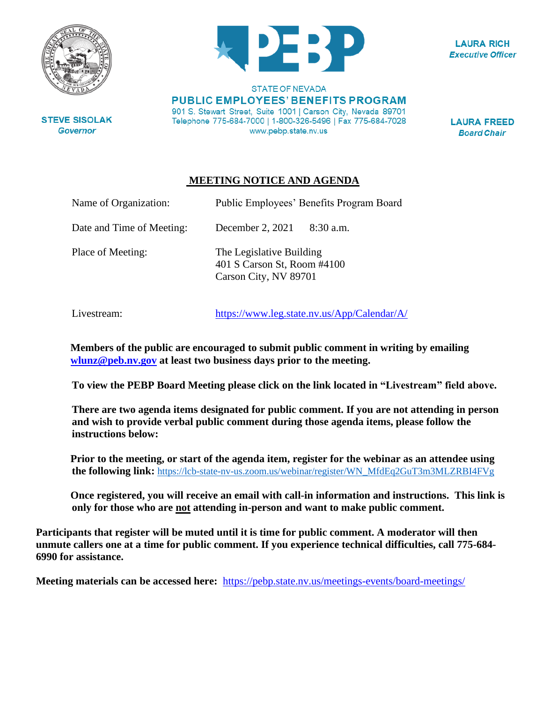

**STATE OF NEVADA PUBLIC EMPLOYEES' BENEFITS PROGRAM** 901 S. Stewart Street, Suite 1001 | Carson City, Nevada 89701 Telephone 775-684-7000 | 1-800-326-5496 | Fax 775-684-7028 www.pebp.state.nv.us

**LAURA RICH Executive Officer** 

**LAURA FREED Board Chair** 

## **MEETING NOTICE AND AGENDA**

| Name of Organization:     | Public Employees' Benefits Program Board                                         |
|---------------------------|----------------------------------------------------------------------------------|
| Date and Time of Meeting: | December 2, 2021<br>8:30 a.m.                                                    |
| Place of Meeting:         | The Legislative Building<br>401 S Carson St, Room #4100<br>Carson City, NV 89701 |

Livestream: <https://www.leg.state.nv.us/App/Calendar/A/>

**Members of the public are encouraged to submit public comment in writing by emailing [wlunz@peb.nv.gov](mailto:wlunz@peb.nv.gov) at least two business days prior to the meeting.**

**To view the PEBP Board Meeting please click on the link located in "Livestream" field above.**

**There are two agenda items designated for public comment. If you are not attending in person and wish to provide verbal public comment during those agenda items, please follow the instructions below:**

**Prior to the meeting, or start of the agenda item, register for the webinar as an attendee using the following link:** [https://lcb-state-nv-us.zoom.us/webinar/register/WN\\_MfdEq2GuT3m3MLZRBI4FVg](https://lcb-state-nv-us.zoom.us/webinar/register/WN_MfdEq2GuT3m3MLZRBI4FVg)

**Once registered, you will receive an email with call-in information and instructions. This link is only for those who are not attending in-person and want to make public comment.**

**Participants that register will be muted until it is time for public comment. A moderator will then unmute callers one at a time for public comment. If you experience technical difficulties, call 775-684- 6990 for assistance.**

**Meeting materials can be accessed here:** <https://pebp.state.nv.us/meetings-events/board-meetings/>

**STEVE SISOLAK Governor**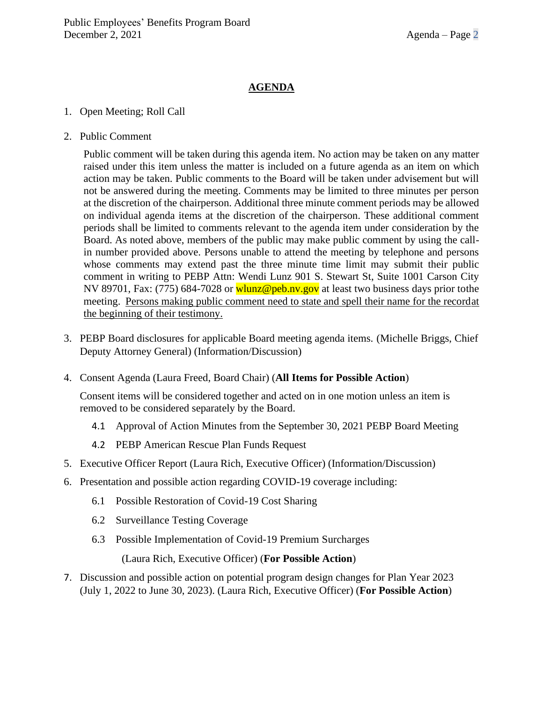## **AGENDA**

## 1. Open Meeting; Roll Call

2. Public Comment

Public comment will be taken during this agenda item. No action may be taken on any matter raised under this item unless the matter is included on a future agenda as an item on which action may be taken. Public comments to the Board will be taken under advisement but will not be answered during the meeting. Comments may be limited to three minutes per person at the discretion of the chairperson. Additional three minute comment periods may be allowed on individual agenda items at the discretion of the chairperson. These additional comment periods shall be limited to comments relevant to the agenda item under consideration by the Board. As noted above, members of the public may make public comment by using the callin number provided above. Persons unable to attend the meeting by telephone and persons whose comments may extend past the three minute time limit may submit their public comment in writing to PEBP Attn: Wendi Lunz 901 S. Stewart St, Suite 1001 Carson City NV 89701, Fax: (775) 684-7028 or wlunz@peb.ny.gov at least two business days prior tothe meeting. Persons making public comment need to state and spell their name for the recordat the beginning of their testimony.

- 3. PEBP Board disclosures for applicable Board meeting agenda items. (Michelle Briggs, Chief Deputy Attorney General) (Information/Discussion)
- 4. Consent Agenda (Laura Freed, Board Chair) (**All Items for Possible Action**)

Consent items will be considered together and acted on in one motion unless an item is removed to be considered separately by the Board.

- 4.1 Approval of Action Minutes from the September 30, 2021 PEBP Board Meeting
- 4.2 PEBP American Rescue Plan Funds Request
- 5. Executive Officer Report (Laura Rich, Executive Officer) (Information/Discussion)
- 6. Presentation and possible action regarding COVID-19 coverage including:
	- 6.1 Possible Restoration of Covid-19 Cost Sharing
	- 6.2 Surveillance Testing Coverage
	- 6.3 Possible Implementation of Covid-19 Premium Surcharges

(Laura Rich, Executive Officer) (**For Possible Action**)

7. Discussion and possible action on potential program design changes for Plan Year 2023 (July 1, 2022 to June 30, 2023). (Laura Rich, Executive Officer) (**For Possible Action**)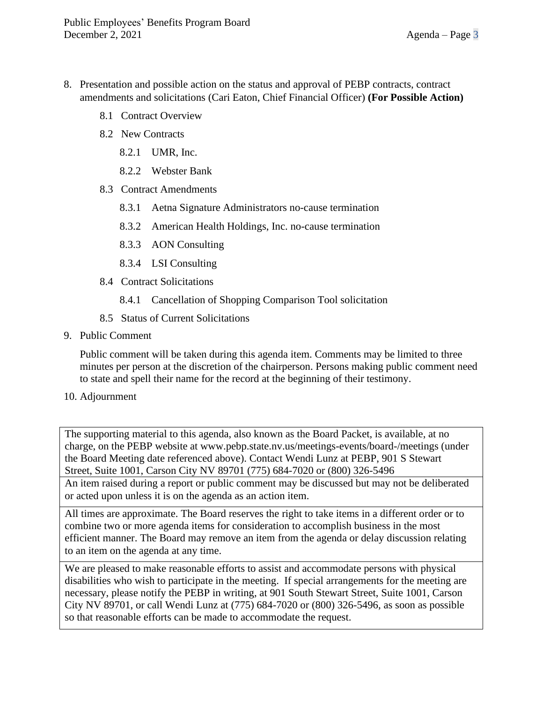- 8. Presentation and possible action on the status and approval of PEBP contracts, contract amendments and solicitations (Cari Eaton, Chief Financial Officer) **(For Possible Action)**
	- 8.1 Contract Overview
	- 8.2 New Contracts
		- 8.2.1 UMR, Inc.
		- 8.2.2 Webster Bank
	- 8.3 Contract Amendments
		- 8.3.1 Aetna Signature Administrators no-cause termination
		- 8.3.2 American Health Holdings, Inc. no-cause termination
		- 8.3.3 AON Consulting
		- 8.3.4 LSI Consulting
	- 8.4 Contract Solicitations
		- 8.4.1 Cancellation of Shopping Comparison Tool solicitation
	- 8.5 Status of Current Solicitations
- 9. Public Comment

Public comment will be taken during this agenda item. Comments may be limited to three minutes per person at the discretion of the chairperson. Persons making public comment need to state and spell their name for the record at the beginning of their testimony.

## 10. Adjournment

The supporting material to this agenda, also known as the Board Packet, is available, at no charge, on the PEBP website at [www.pebp.state.nv.us/meetings-events/board-/meetings](http://www.pebp.state.nv.us/meetings-events/board-/meetings) (under the Board Meeting date referenced above). Contact Wendi Lunz at PEBP, 901 S Stewart Street, Suite 1001, Carson City NV 89701 (775) 684-7020 or (800) 326-5496

An item raised during a report or public comment may be discussed but may not be deliberated or acted upon unless it is on the agenda as an action item.

All times are approximate. The Board reserves the right to take items in a different order or to combine two or more agenda items for consideration to accomplish business in the most efficient manner. The Board may remove an item from the agenda or delay discussion relating to an item on the agenda at any time.

We are pleased to make reasonable efforts to assist and accommodate persons with physical disabilities who wish to participate in the meeting. If special arrangements for the meeting are necessary, please notify the PEBP in writing, at 901 South Stewart Street, Suite 1001, Carson City NV 89701, or call Wendi Lunz at (775) 684-7020 or (800) 326-5496, as soon as possible so that reasonable efforts can be made to accommodate the request.